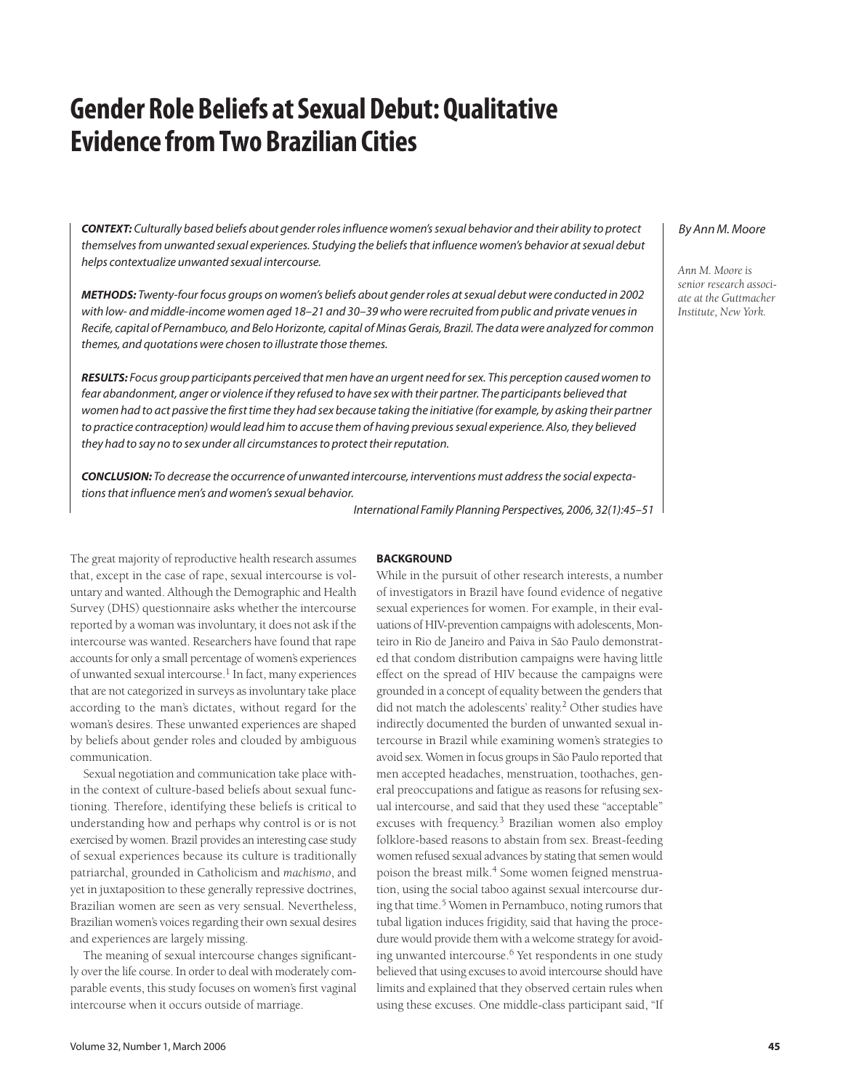# **Gender Role Beliefs at Sexual Debut: Qualitative Evidence from Two Brazilian Cities**

**CONTEXT:** Culturally based beliefs about gender roles influence women's sexual behavior and their ability to protect themselves from unwanted sexual experiences. Studying the beliefs that influence women's behavior at sexual debut helps contextualize unwanted sexual intercourse.

**METHODS:** Twenty-four focus groups on women's beliefs about gender roles at sexual debut were conducted in 2002 with low- and middle-income women aged 18–21 and 30–39 who were recruited from public and private venues in Recife, capital of Pernambuco, and Belo Horizonte, capital of Minas Gerais, Brazil. The data were analyzed for common themes, and quotations were chosen to illustrate those themes.

**RESULTS:** Focus group participants perceived that men have an urgent need for sex. This perception caused women to fear abandonment, anger or violence if they refused to have sex with their partner. The participants believed that women had to act passive the first time they had sex because taking the initiative (for example, by asking their partner to practice contraception) would lead him to accuse them of having previous sexual experience. Also, they believed they had to say no to sex under all circumstances to protect their reputation.

**CONCLUSION:** To decrease the occurrence of unwanted intercourse, interventions must address the social expectations that influence men's and women's sexual behavior.

International Family Planning Perspectives, 2006, 32(1):45–51

The great majority of reproductive health research assumes that, except in the case of rape, sexual intercourse is voluntary and wanted. Although the Demographic and Health Survey (DHS) questionnaire asks whether the intercourse reported by a woman was involuntary, it does not ask if the intercourse was wanted. Researchers have found that rape accounts for only a small percentage of women's experiences of unwanted sexual intercourse.<sup>1</sup> In fact, many experiences that are not categorized in surveys as involuntary take place according to the man's dictates, without regard for the woman's desires. These unwanted experiences are shaped by beliefs about gender roles and clouded by ambiguous communication.

Sexual negotiation and communication take place within the context of culture-based beliefs about sexual functioning. Therefore, identifying these beliefs is critical to understanding how and perhaps why control is or is not exercised by women. Brazil provides an interesting case study of sexual experiences because its culture is traditionally patriarchal, grounded in Catholicism and *machismo*, and yet in juxtaposition to these generally repressive doctrines, Brazilian women are seen as very sensual. Nevertheless, Brazilian women's voices regarding their own sexual desires and experiences are largely missing.

The meaning of sexual intercourse changes significantly over the life course. In order to deal with moderately comparable events, this study focuses on women's first vaginal intercourse when it occurs outside of marriage.

#### **BACKGROUND**

While in the pursuit of other research interests, a number of investigators in Brazil have found evidence of negative sexual experiences for women. For example, in their evaluations of HIV-prevention campaigns with adolescents, Monteiro in Rio de Janeiro and Paiva in São Paulo demonstrated that condom distribution campaigns were having little effect on the spread of HIV because the campaigns were grounded in a concept of equality between the genders that did not match the adolescents' reality.<sup>2</sup> Other studies have indirectly documented the burden of unwanted sexual intercourse in Brazil while examining women's strategies to avoid sex. Women in focus groups in São Paulo reported that men accepted headaches, menstruation, toothaches, general preoccupations and fatigue as reasons for refusing sexual intercourse, and said that they used these "acceptable" excuses with frequency.<sup>3</sup> Brazilian women also employ folklore-based reasons to abstain from sex. Breast-feeding women refused sexual advances by stating that semen would poison the breast milk.<sup>4</sup> Some women feigned menstruation, using the social taboo against sexual intercourse during that time.5 Women in Pernambuco, noting rumors that tubal ligation induces frigidity, said that having the procedure would provide them with a welcome strategy for avoiding unwanted intercourse.<sup>6</sup> Yet respondents in one study believed that using excuses to avoid intercourse should have limits and explained that they observed certain rules when using these excuses. One middle-class participant said, "If

### By Ann M. Moore

*Ann M. Moore is senior research associate at the Guttmacher Institute, New York.*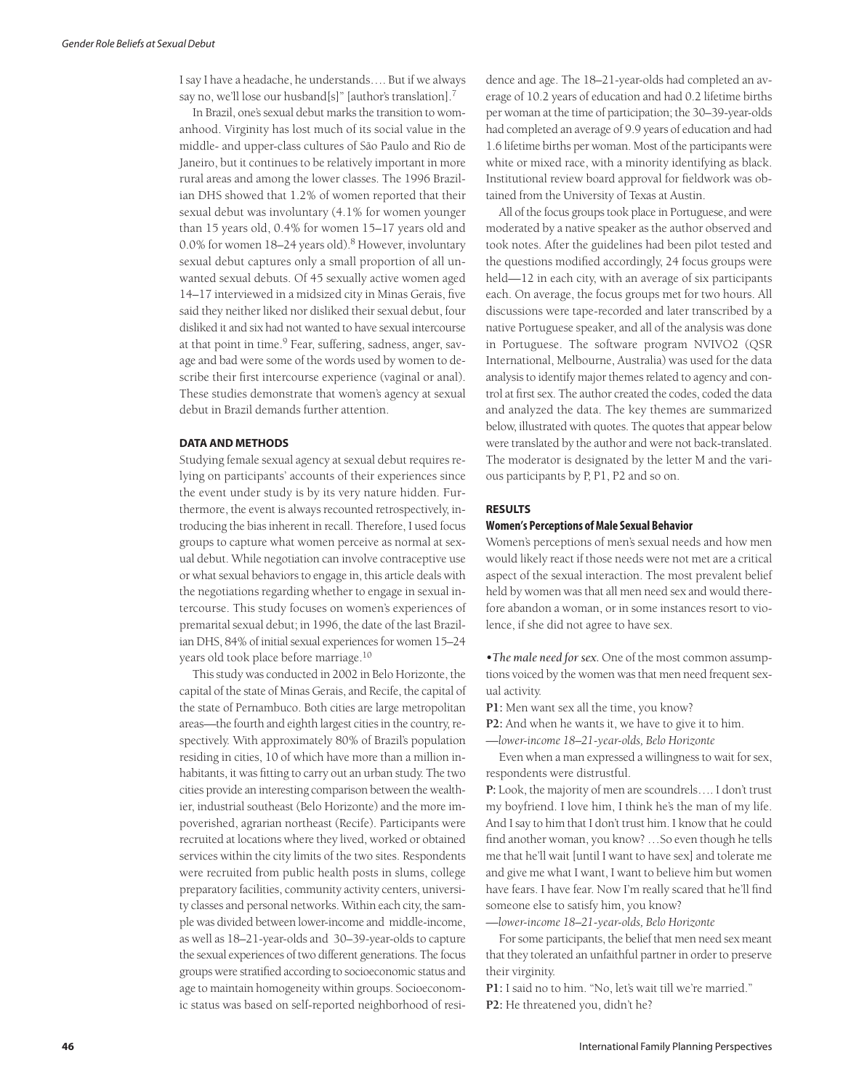I say I have a headache, he understands…. But if we always say no, we'll lose our husband[s]" [author's translation].<sup>7</sup>

In Brazil, one's sexual debut marks the transition to womanhood. Virginity has lost much of its social value in the middle- and upper-class cultures of São Paulo and Rio de Janeiro, but it continues to be relatively important in more rural areas and among the lower classes. The 1996 Brazilian DHS showed that 1.2% of women reported that their sexual debut was involuntary (4.1% for women younger than 15 years old, 0.4% for women 15–17 years old and 0.0% for women  $18-24$  years old).<sup>8</sup> However, involuntary sexual debut captures only a small proportion of all unwanted sexual debuts. Of 45 sexually active women aged 14–17 interviewed in a midsized city in Minas Gerais, five said they neither liked nor disliked their sexual debut, four disliked it and six had not wanted to have sexual intercourse at that point in time.<sup>9</sup> Fear, suffering, sadness, anger, savage and bad were some of the words used by women to describe their first intercourse experience (vaginal or anal). These studies demonstrate that women's agency at sexual debut in Brazil demands further attention.

#### **DATA AND METHODS**

Studying female sexual agency at sexual debut requires relying on participants' accounts of their experiences since the event under study is by its very nature hidden. Furthermore, the event is always recounted retrospectively, introducing the bias inherent in recall. Therefore, I used focus groups to capture what women perceive as normal at sexual debut. While negotiation can involve contraceptive use or what sexual behaviors to engage in, this article deals with the negotiations regarding whether to engage in sexual intercourse. This study focuses on women's experiences of premarital sexual debut; in 1996, the date of the last Brazilian DHS, 84% of initial sexual experiences for women 15–24 years old took place before marriage.<sup>10</sup>

This study was conducted in 2002 in Belo Horizonte, the capital of the state of Minas Gerais, and Recife, the capital of the state of Pernambuco. Both cities are large metropolitan areas—the fourth and eighth largest cities in the country, respectively. With approximately 80% of Brazil's population residing in cities, 10 of which have more than a million inhabitants, it was fitting to carry out an urban study. The two cities provide an interesting comparison between the wealthier, industrial southeast (Belo Horizonte) and the more impoverished, agrarian northeast (Recife). Participants were recruited at locations where they lived, worked or obtained services within the city limits of the two sites. Respondents were recruited from public health posts in slums, college preparatory facilities, community activity centers, university classes and personal networks. Within each city, the sample was divided between lower-income and middle-income, as well as 18–21-year-olds and 30–39-year-olds to capture the sexual experiences of two different generations. The focus groups were stratified according to socioeconomic status and age to maintain homogeneity within groups. Socioeconomic status was based on self-reported neighborhood of residence and age. The 18–21-year-olds had completed an average of 10.2 years of education and had 0.2 lifetime births per woman at the time of participation; the 30–39-year-olds had completed an average of 9.9 years of education and had 1.6 lifetime births per woman. Most of the participants were white or mixed race, with a minority identifying as black. Institutional review board approval for fieldwork was obtained from the University of Texas at Austin.

All of the focus groups took place in Portuguese, and were moderated by a native speaker as the author observed and took notes. After the guidelines had been pilot tested and the questions modified accordingly, 24 focus groups were held—12 in each city, with an average of six participants each. On average, the focus groups met for two hours. All discussions were tape-recorded and later transcribed by a native Portuguese speaker, and all of the analysis was done in Portuguese. The software program NVIVO2 (QSR International, Melbourne, Australia) was used for the data analysis to identify major themes related to agency and control at first sex. The author created the codes, coded the data and analyzed the data. The key themes are summarized below, illustrated with quotes. The quotes that appear below were translated by the author and were not back-translated. The moderator is designated by the letter M and the various participants by P, P1, P2 and so on.

#### **RESULTS**

#### **Women's Perceptions of Male Sexual Behavior**

Women's perceptions of men's sexual needs and how men would likely react if those needs were not met are a critical aspect of the sexual interaction. The most prevalent belief held by women was that all men need sex and would therefore abandon a woman, or in some instances resort to violence, if she did not agree to have sex.

*•The male need for sex.* One of the most common assumptions voiced by the women was that men need frequent sexual activity.

**P1:** Men want sex all the time, you know?

**P2:** And when he wants it, we have to give it to him.

*—lower-income 18–21-year-olds, Belo Horizonte*

Even when a man expressed a willingness to wait for sex, respondents were distrustful.

**P:** Look, the majority of men are scoundrels…. I don't trust my boyfriend. I love him, I think he's the man of my life. And I say to him that I don't trust him. I know that he could find another woman, you know? …So even though he tells me that he'll wait [until I want to have sex] and tolerate me and give me what I want, I want to believe him but women have fears. I have fear. Now I'm really scared that he'll find someone else to satisfy him, you know?

*—lower-income 18–21-year-olds, Belo Horizonte*

For some participants, the belief that men need sex meant that they tolerated an unfaithful partner in order to preserve their virginity.

**P1:** I said no to him. "No, let's wait till we're married." **P2:** He threatened you, didn't he?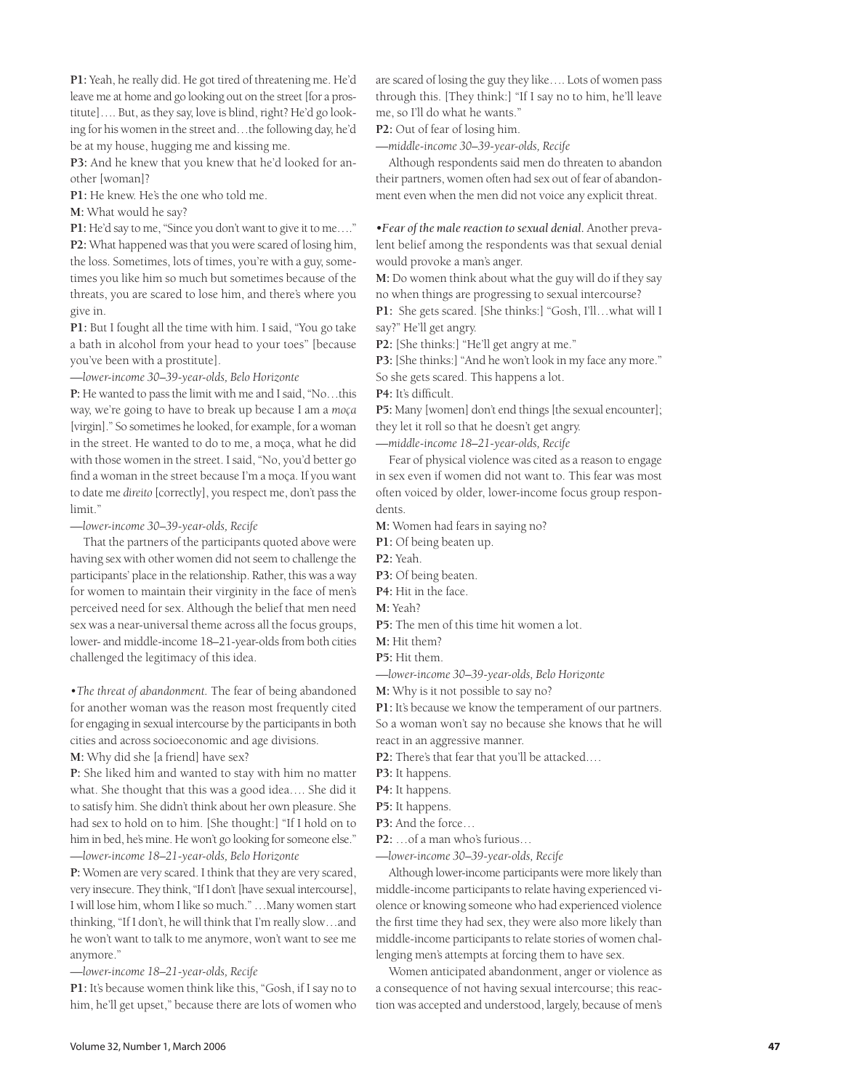**P1:** Yeah, he really did. He got tired of threatening me. He'd leave me at home and go looking out on the street [for a prostitute]…. But, as they say, love is blind, right? He'd go looking for his women in the street and…the following day, he'd be at my house, hugging me and kissing me.

**P3:** And he knew that you knew that he'd looked for another [woman]?

**P1:** He knew. He's the one who told me.

**M:** What would he say?

**P1:** He'd say to me, "Since you don't want to give it to me…." **P2:** What happened was that you were scared of losing him, the loss. Sometimes, lots of times, you're with a guy, sometimes you like him so much but sometimes because of the threats, you are scared to lose him, and there's where you give in.

**P1:** But I fought all the time with him. I said, "You go take a bath in alcohol from your head to your toes" [because you've been with a prostitute].

*—lower-income 30–39-year-olds, Belo Horizonte*

**P:** He wanted to pass the limit with me and I said, "No…this way, we're going to have to break up because I am a *moça* [virgin]." So sometimes he looked, for example, for a woman in the street. He wanted to do to me, a moça, what he did with those women in the street. I said, "No, you'd better go find a woman in the street because I'm a moça. If you want to date me *direito* [correctly], you respect me, don't pass the limit."

*—lower-income 30–39-year-olds, Recife* 

That the partners of the participants quoted above were having sex with other women did not seem to challenge the participants' place in the relationship. Rather, this was a way for women to maintain their virginity in the face of men's perceived need for sex. Although the belief that men need sex was a near-universal theme across all the focus groups, lower- and middle-income 18–21-year-olds from both cities challenged the legitimacy of this idea.

*•The threat of abandonment.* The fear of being abandoned for another woman was the reason most frequently cited for engaging in sexual intercourse by the participants in both cities and across socioeconomic and age divisions.

**M:** Why did she [a friend] have sex?

**P:** She liked him and wanted to stay with him no matter what. She thought that this was a good idea…. She did it to satisfy him. She didn't think about her own pleasure. She had sex to hold on to him. [She thought:] "If I hold on to him in bed, he's mine. He won't go looking for someone else." *—lower-income 18–21-year-olds, Belo Horizonte*

**P:** Women are very scared. I think that they are very scared, very insecure. They think, "If I don't [have sexual intercourse], I will lose him, whom I like so much." …Many women start thinking, "If I don't, he will think that I'm really slow…and he won't want to talk to me anymore, won't want to see me anymore."

*—lower-income 18–21-year-olds, Recife*

**P1:** It's because women think like this, "Gosh, if I say no to him, he'll get upset," because there are lots of women who are scared of losing the guy they like…. Lots of women pass through this. [They think:] "If I say no to him, he'll leave me, so I'll do what he wants."

**P2:** Out of fear of losing him.

*—middle-income 30–39-year-olds, Recife*

Although respondents said men do threaten to abandon their partners, women often had sex out of fear of abandonment even when the men did not voice any explicit threat.

*•Fear of the male reaction to sexual denial.* Another prevalent belief among the respondents was that sexual denial would provoke a man's anger.

**M:** Do women think about what the guy will do if they say no when things are progressing to sexual intercourse? **P1:** She gets scared. [She thinks:] "Gosh, I'll…what will I

say?" He'll get angry.

**P2:** [She thinks:] "He'll get angry at me."

**P3:** [She thinks:] "And he won't look in my face any more." So she gets scared. This happens a lot.

**P4:** It's difficult.

**P5:** Many [women] don't end things [the sexual encounter]; they let it roll so that he doesn't get angry.

*—middle-income 18–21-year-olds, Recife*

Fear of physical violence was cited as a reason to engage in sex even if women did not want to. This fear was most often voiced by older, lower-income focus group respondents.

**M:** Women had fears in saying no?

**P1:** Of being beaten up.

**P2:** Yeah.

**P3:** Of being beaten.

**P4:** Hit in the face.

**M:** Yeah?

**P5:** The men of this time hit women a lot.

**M:** Hit them?

**P5:** Hit them.

*—lower-income 30–39-year-olds, Belo Horizonte*

**M:** Why is it not possible to say no?

**P1:** It's because we know the temperament of our partners. So a woman won't say no because she knows that he will react in an aggressive manner.

**P2:** There's that fear that you'll be attacked.…

**P3:** It happens.

**P4:** It happens.

**P5:** It happens.

**P3:** And the force…

**P2:** …of a man who's furious…

*—lower-income 30–39-year-olds, Recife*

Although lower-income participants were more likely than middle-income participants to relate having experienced violence or knowing someone who had experienced violence the first time they had sex, they were also more likely than middle-income participants to relate stories of women challenging men's attempts at forcing them to have sex.

Women anticipated abandonment, anger or violence as a consequence of not having sexual intercourse; this reaction was accepted and understood, largely, because of men's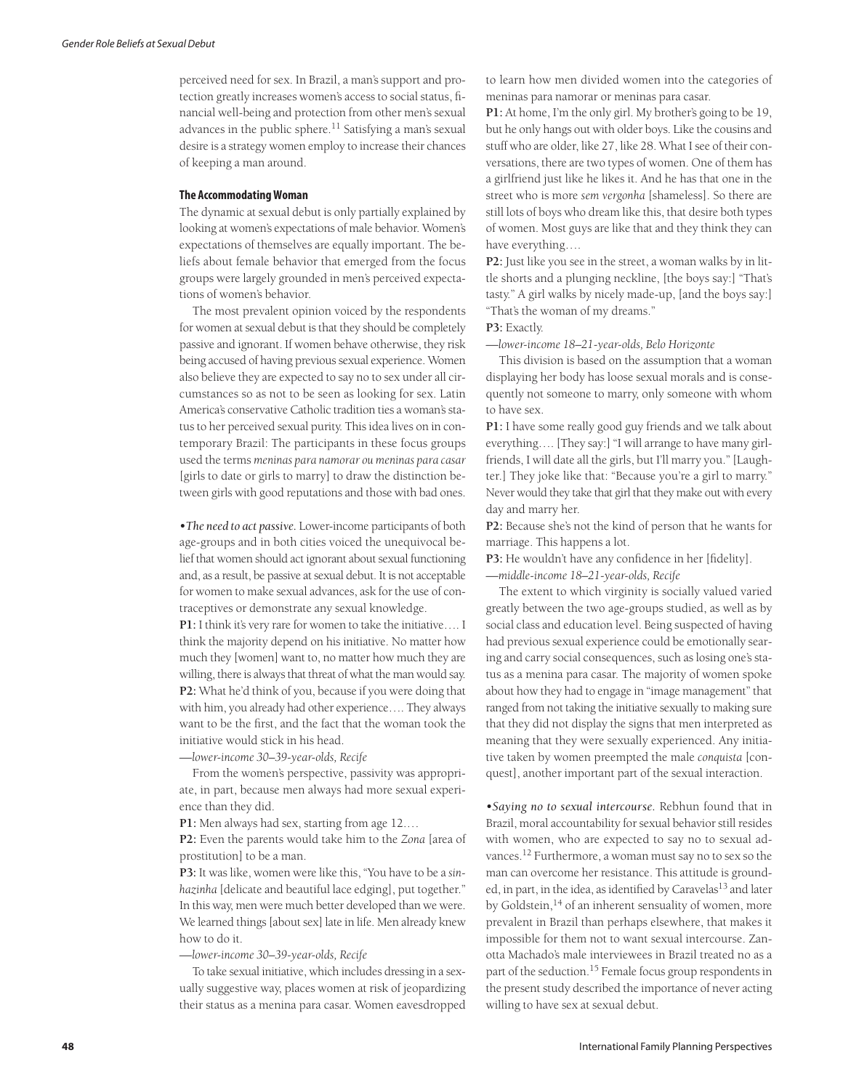perceived need for sex. In Brazil, a man's support and protection greatly increases women's access to social status, financial well-being and protection from other men's sexual advances in the public sphere. $^{11}$  Satisfying a man's sexual desire is a strategy women employ to increase their chances of keeping a man around.

#### **The Accommodating Woman**

The dynamic at sexual debut is only partially explained by looking at women's expectations of male behavior. Women's expectations of themselves are equally important. The beliefs about female behavior that emerged from the focus groups were largely grounded in men's perceived expectations of women's behavior.

The most prevalent opinion voiced by the respondents for women at sexual debut is that they should be completely passive and ignorant. If women behave otherwise, they risk being accused of having previous sexual experience. Women also believe they are expected to say no to sex under all circumstances so as not to be seen as looking for sex. Latin America's conservative Catholic tradition ties a woman's status to her perceived sexual purity. This idea lives on in contemporary Brazil: The participants in these focus groups used the terms *meninas para namorar ou meninas para casar* [girls to date or girls to marry] to draw the distinction between girls with good reputations and those with bad ones.

*•The need to act passive.* Lower-income participants of both age-groups and in both cities voiced the unequivocal belief that women should act ignorant about sexual functioning and, as a result, be passive at sexual debut. It is not acceptable for women to make sexual advances, ask for the use of contraceptives or demonstrate any sexual knowledge.

**P1:** I think it's very rare for women to take the initiative…. I think the majority depend on his initiative. No matter how much they [women] want to, no matter how much they are willing, there is always that threat of what the man would say. **P2:** What he'd think of you, because if you were doing that with him, you already had other experience…. They always want to be the first, and the fact that the woman took the initiative would stick in his head.

*—lower-income 30–39-year-olds, Recife*

From the women's perspective, passivity was appropriate, in part, because men always had more sexual experience than they did.

**P1:** Men always had sex, starting from age 12.…

**P2:** Even the parents would take him to the *Zona* [area of prostitution] to be a man.

**P3:** It was like, women were like this, "You have to be a *sinhazinha* [delicate and beautiful lace edging], put together." In this way, men were much better developed than we were. We learned things [about sex] late in life. Men already knew how to do it.

*—lower-income 30–39-year-olds, Recife*

To take sexual initiative, which includes dressing in a sexually suggestive way, places women at risk of jeopardizing their status as a menina para casar. Women eavesdropped to learn how men divided women into the categories of meninas para namorar or meninas para casar.

**P1:** At home, I'm the only girl. My brother's going to be 19, but he only hangs out with older boys. Like the cousins and stuff who are older, like 27, like 28. What I see of their conversations, there are two types of women. One of them has a girlfriend just like he likes it. And he has that one in the street who is more *sem vergonha* [shameless]. So there are still lots of boys who dream like this, that desire both types of women. Most guys are like that and they think they can have everything….

**P2:** Just like you see in the street, a woman walks by in little shorts and a plunging neckline, [the boys say:] "That's tasty." A girl walks by nicely made-up, [and the boys say:] "That's the woman of my dreams."

**P3:** Exactly.

*—lower-income 18–21-year-olds, Belo Horizonte*

This division is based on the assumption that a woman displaying her body has loose sexual morals and is consequently not someone to marry, only someone with whom to have sex.

**P1:** I have some really good guy friends and we talk about everything…. [They say:] "I will arrange to have many girlfriends, I will date all the girls, but I'll marry you." [Laughter.] They joke like that: "Because you're a girl to marry." Never would they take that girl that they make out with every day and marry her.

**P2:** Because she's not the kind of person that he wants for marriage. This happens a lot.

**P3:** He wouldn't have any confidence in her [fidelity].

*—middle-income 18–21-year-olds, Recife*

The extent to which virginity is socially valued varied greatly between the two age-groups studied, as well as by social class and education level. Being suspected of having had previous sexual experience could be emotionally searing and carry social consequences, such as losing one's status as a menina para casar. The majority of women spoke about how they had to engage in "image management" that ranged from not taking the initiative sexually to making sure that they did not display the signs that men interpreted as meaning that they were sexually experienced. Any initiative taken by women preempted the male *conquista* [conquest], another important part of the sexual interaction.

*•Saying no to sexual intercourse.* Rebhun found that in Brazil, moral accountability for sexual behavior still resides with women, who are expected to say no to sexual advances.12 Furthermore, a woman must say no to sex so the man can overcome her resistance. This attitude is grounded, in part, in the idea, as identified by  $C$ aravelas $^{13}$  and later by Goldstein,<sup>14</sup> of an inherent sensuality of women, more prevalent in Brazil than perhaps elsewhere, that makes it impossible for them not to want sexual intercourse. Zanotta Machado's male interviewees in Brazil treated no as a part of the seduction.15 Female focus group respondents in the present study described the importance of never acting willing to have sex at sexual debut.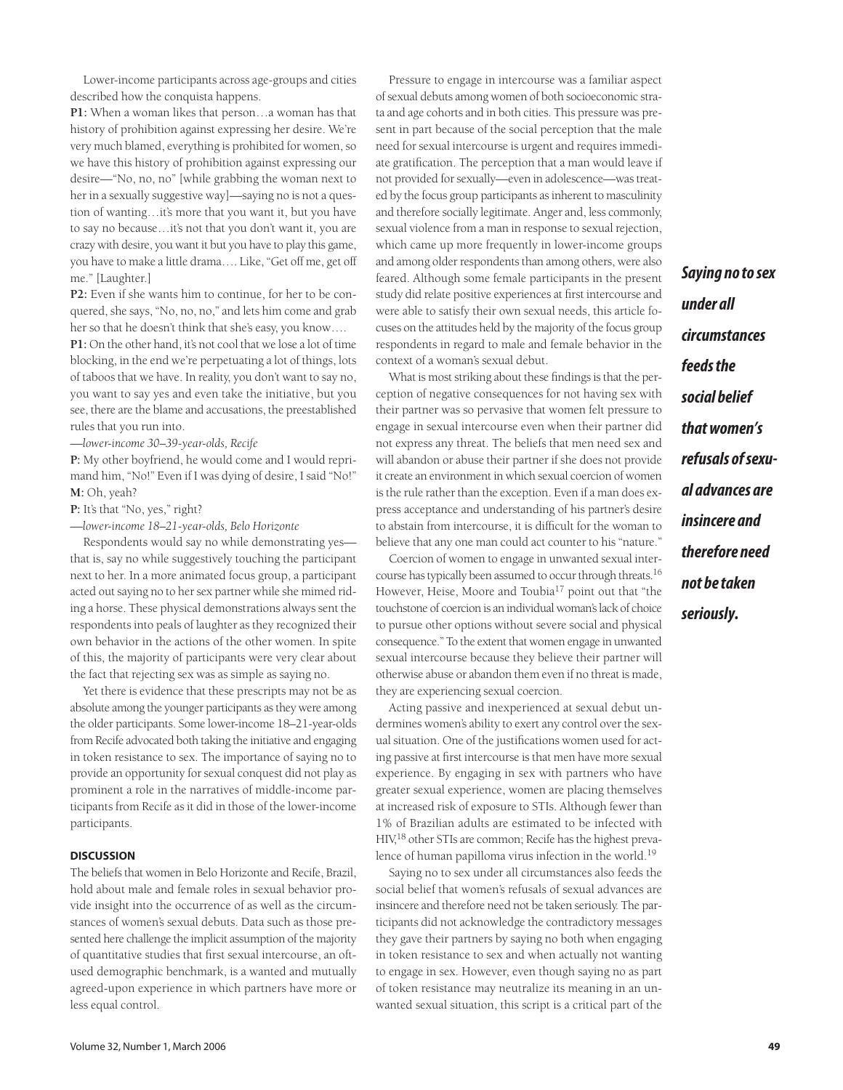Lower-income participants across age-groups and cities described how the conquista happens.

**P1:** When a woman likes that person…a woman has that history of prohibition against expressing her desire. We're very much blamed, everything is prohibited for women, so we have this history of prohibition against expressing our desire—"No, no, no" [while grabbing the woman next to her in a sexually suggestive way]—saying no is not a question of wanting…it's more that you want it, but you have to say no because…it's not that you don't want it, you are crazy with desire, you want it but you have to play this game, you have to make a little drama…. Like, "Get off me, get off me." [Laughter.]

**P2:** Even if she wants him to continue, for her to be conquered, she says, "No, no, no," and lets him come and grab her so that he doesn't think that she's easy, you know….

**P1:** On the other hand, it's not cool that we lose a lot of time blocking, in the end we're perpetuating a lot of things, lots of taboos that we have. In reality, you don't want to say no, you want to say yes and even take the initiative, but you see, there are the blame and accusations, the preestablished rules that you run into.

*—lower-income 30–39-year-olds, Recife*

**P:** My other boyfriend, he would come and I would reprimand him, "No!" Even if I was dying of desire, I said "No!" **M:** Oh, yeah?

**P:** It's that "No, yes," right?

*—lower-income 18–21-year-olds, Belo Horizonte*

Respondents would say no while demonstrating yes that is, say no while suggestively touching the participant next to her. In a more animated focus group, a participant acted out saying no to her sex partner while she mimed riding a horse. These physical demonstrations always sent the respondents into peals of laughter as they recognized their own behavior in the actions of the other women. In spite of this, the majority of participants were very clear about the fact that rejecting sex was as simple as saying no.

Yet there is evidence that these prescripts may not be as absolute among the younger participants as they were among the older participants. Some lower-income 18–21-year-olds from Recife advocated both taking the initiative and engaging in token resistance to sex. The importance of saying no to provide an opportunity for sexual conquest did not play as prominent a role in the narratives of middle-income participants from Recife as it did in those of the lower-income participants.

## **DISCUSSION**

The beliefs that women in Belo Horizonte and Recife, Brazil, hold about male and female roles in sexual behavior provide insight into the occurrence of as well as the circumstances of women's sexual debuts. Data such as those presented here challenge the implicit assumption of the majority of quantitative studies that first sexual intercourse, an oftused demographic benchmark, is a wanted and mutually agreed-upon experience in which partners have more or less equal control.

Pressure to engage in intercourse was a familiar aspect of sexual debuts among women of both socioeconomic strata and age cohorts and in both cities. This pressure was present in part because of the social perception that the male need for sexual intercourse is urgent and requires immediate gratification. The perception that a man would leave if not provided for sexually—even in adolescence—was treated by the focus group participants as inherent to masculinity and therefore socially legitimate. Anger and, less commonly, sexual violence from a man in response to sexual rejection, which came up more frequently in lower-income groups and among older respondents than among others, were also feared. Although some female participants in the present study did relate positive experiences at first intercourse and were able to satisfy their own sexual needs, this article focuses on the attitudes held by the majority of the focus group respondents in regard to male and female behavior in the context of a woman's sexual debut.

What is most striking about these findings is that the perception of negative consequences for not having sex with their partner was so pervasive that women felt pressure to engage in sexual intercourse even when their partner did not express any threat. The beliefs that men need sex and will abandon or abuse their partner if she does not provide it create an environment in which sexual coercion of women is the rule rather than the exception. Even if a man does express acceptance and understanding of his partner's desire to abstain from intercourse, it is difficult for the woman to believe that any one man could act counter to his "nature."

Coercion of women to engage in unwanted sexual intercourse has typically been assumed to occur through threats.<sup>16</sup> However, Heise, Moore and Toubia<sup>17</sup> point out that "the touchstone of coercion is an individual woman's lack of choice to pursue other options without severe social and physical consequence." To the extent that women engage in unwanted sexual intercourse because they believe their partner will otherwise abuse or abandon them even if no threat is made, they are experiencing sexual coercion.

Acting passive and inexperienced at sexual debut undermines women's ability to exert any control over the sexual situation. One of the justifications women used for acting passive at first intercourse is that men have more sexual experience. By engaging in sex with partners who have greater sexual experience, women are placing themselves at increased risk of exposure to STIs. Although fewer than 1% of Brazilian adults are estimated to be infected with HIV,18 other STIs are common; Recife has the highest prevalence of human papilloma virus infection in the world.<sup>19</sup>

Saying no to sex under all circumstances also feeds the social belief that women's refusals of sexual advances are insincere and therefore need not be taken seriously. The participants did not acknowledge the contradictory messages they gave their partners by saying no both when engaging in token resistance to sex and when actually not wanting to engage in sex. However, even though saying no as part of token resistance may neutralize its meaning in an unwanted sexual situation, this script is a critical part of the

**Saying no to sex under all circumstances feeds the social belief that women's refusals of sexual advances are insincere and therefore need not be taken seriously.**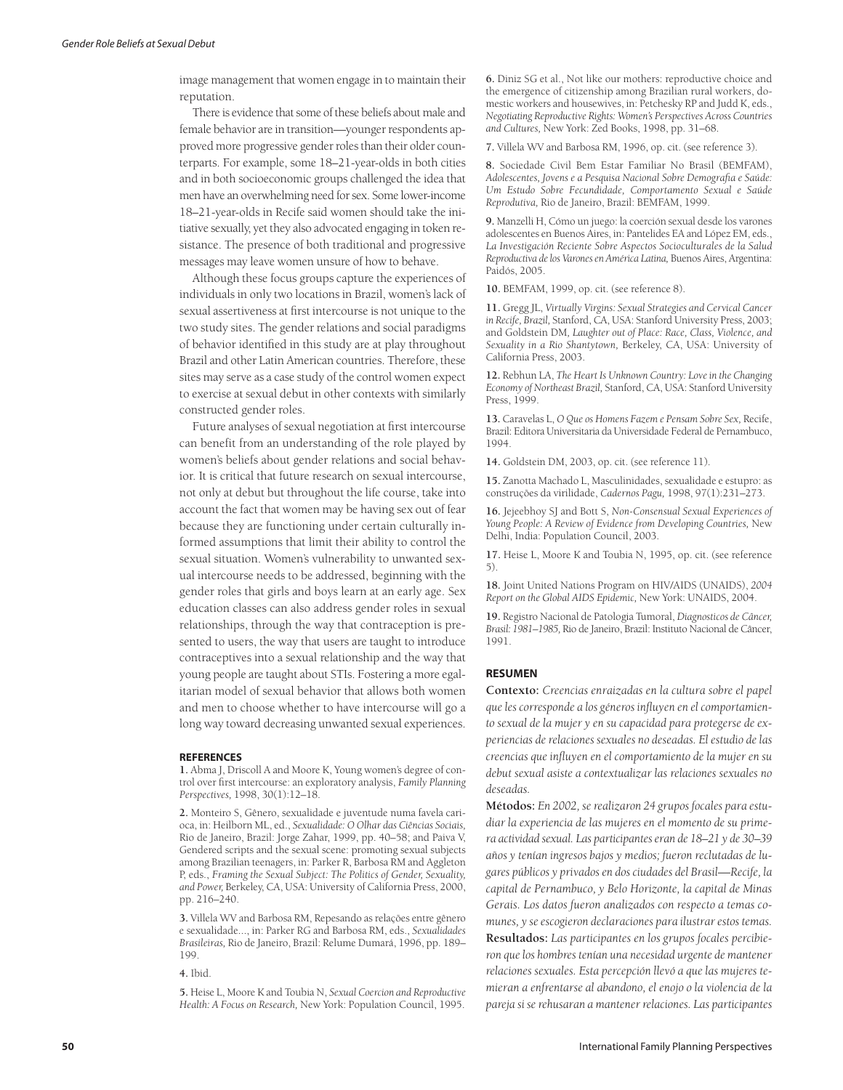image management that women engage in to maintain their reputation.

There is evidence that some of these beliefs about male and female behavior are in transition—younger respondents approved more progressive gender roles than their older counterparts. For example, some 18–21-year-olds in both cities and in both socioeconomic groups challenged the idea that men have an overwhelming need for sex. Some lower-income 18–21-year-olds in Recife said women should take the initiative sexually, yet they also advocated engaging in token resistance. The presence of both traditional and progressive messages may leave women unsure of how to behave.

Although these focus groups capture the experiences of individuals in only two locations in Brazil, women's lack of sexual assertiveness at first intercourse is not unique to the two study sites. The gender relations and social paradigms of behavior identified in this study are at play throughout Brazil and other Latin American countries. Therefore, these sites may serve as a case study of the control women expect to exercise at sexual debut in other contexts with similarly constructed gender roles.

Future analyses of sexual negotiation at first intercourse can benefit from an understanding of the role played by women's beliefs about gender relations and social behavior. It is critical that future research on sexual intercourse, not only at debut but throughout the life course, take into account the fact that women may be having sex out of fear because they are functioning under certain culturally informed assumptions that limit their ability to control the sexual situation. Women's vulnerability to unwanted sexual intercourse needs to be addressed, beginning with the gender roles that girls and boys learn at an early age. Sex education classes can also address gender roles in sexual relationships, through the way that contraception is presented to users, the way that users are taught to introduce contraceptives into a sexual relationship and the way that young people are taught about STIs. Fostering a more egalitarian model of sexual behavior that allows both women and men to choose whether to have intercourse will go a long way toward decreasing unwanted sexual experiences.

#### **REFERENCES**

**1.** Abma J, Driscoll A and Moore K, Young women's degree of control over first intercourse: an exploratory analysis, *Family Planning Perspectives,* 1998, 30(1):12–18.

**2.** Monteiro S, Gênero, sexualidade e juventude numa favela carioca, in: Heilborn ML, ed., *Sexualidade: O Olhar das Ciências Sociais,* Rio de Janeiro, Brazil: Jorge Zahar, 1999, pp. 40–58; and Paiva V, Gendered scripts and the sexual scene: promoting sexual subjects among Brazilian teenagers, in: Parker R, Barbosa RM and Aggleton P, eds., *Framing the Sexual Subject: The Politics of Gender, Sexuality, and Power,* Berkeley, CA, USA: University of California Press, 2000, pp. 216–240.

**3.** Villela WV and Barbosa RM, Repesando as relações entre gênero e sexualidade..., in: Parker RG and Barbosa RM, eds., *Sexualidades Brasileiras,* Rio de Janeiro, Brazil: Relume Dumará, 1996, pp. 189– 199.

**4.** Ibid.

**5.** Heise L, Moore K and Toubia N, *Sexual Coercion and Reproductive Health: A Focus on Research,* New York: Population Council, 1995.

**6.** Diniz SG et al., Not like our mothers: reproductive choice and the emergence of citizenship among Brazilian rural workers, domestic workers and housewives, in: Petchesky RP and Judd K, eds., *Negotiating Reproductive Rights: Women's Perspectives Across Countries and Cultures,* New York: Zed Books, 1998, pp. 31–68.

**7.** Villela WV and Barbosa RM, 1996, op. cit. (see reference 3).

**8.** Sociedade Civil Bem Estar Familiar No Brasil (BEMFAM), *Adolescentes, Jovens e a Pesquisa Nacional Sobre Demografia e Saúde: Um Estudo Sobre Fecundidade, Comportamento Sexual e Saúde Reprodutiva,* Rio de Janeiro, Brazil: BEMFAM, 1999.

**9.** Manzelli H, Cómo un juego: la coerción sexual desde los varones adolescentes en Buenos Aires, in: Pantelides EA and López EM, eds., *La Investigación Reciente Sobre Aspectos Socioculturales de la Salud Reproductiva de los Varones en América Latina,* Buenos Aires, Argentina: Paidós, 2005.

**10.** BEMFAM, 1999, op. cit. (see reference 8).

**11.** Gregg JL, *Virtually Virgins: Sexual Strategies and Cervical Cancer in Recife, Brazil,* Stanford, CA, USA: Stanford University Press, 2003; and Goldstein DM*, Laughter out of Place: Race, Class, Violence, and Sexuality in a Rio Shantytown,* Berkeley, CA, USA: University of California Press, 2003.

**12.** Rebhun LA, *The Heart Is Unknown Country: Love in the Changing Economy of Northeast Brazil,* Stanford, CA, USA: Stanford University Press, 1999.

**13.** Caravelas L, *O Que os Homens Fazem e Pensam Sobre Sex,* Recife, Brazil: Editora Universitaria da Universidade Federal de Pernambuco, 1994.

**14.** Goldstein DM, 2003, op. cit. (see reference 11).

**15.** Zanotta Machado L, Masculinidades, sexualidade e estupro: as construções da virilidade, *Cadernos Pagu,* 1998, 97(1):231–273.

**16.** Jejeebhoy SJ and Bott S, *Non-Consensual Sexual Experiences of Young People: A Review of Evidence from Developing Countries,* New Delhi, India: Population Council, 2003.

**17.** Heise L, Moore K and Toubia N, 1995, op. cit. (see reference 5).

**18.** Joint United Nations Program on HIV/AIDS (UNAIDS), *2004 Report on the Global AIDS Epidemic,* New York: UNAIDS, 2004.

**19.** Registro Nacional de Patologia Tumoral, *Diagnosticos de Câncer, Brasil: 1981–1985,* Rio de Janeiro, Brazil: Instituto Nacional de Câncer, 1991.

#### **RESUMEN**

**Contexto:** *Creencias enraizadas en la cultura sobre el papel que les corresponde a los géneros influyen en el comportamiento sexual de la mujer y en su capacidad para protegerse de experiencias de relaciones sexuales no deseadas. El estudio de las creencias que influyen en el comportamiento de la mujer en su debut sexual asiste a contextualizar las relaciones sexuales no deseadas.*

**Métodos:** *En 2002, se realizaron 24 grupos focales para estudiar la experiencia de las mujeres en el momento de su primera actividad sexual. Las participantes eran de 18–21 y de 30–39 años y tenían ingresos bajos y medios; fueron reclutadas de lugares públicos y privados en dos ciudades del Brasil—Recife, la capital de Pernambuco, y Belo Horizonte, la capital de Minas Gerais. Los datos fueron analizados con respecto a temas comunes, y se escogieron declaraciones para ilustrar estos temas.* **Resultados:** *Las participantes en los grupos focales percibieron que los hombres tenían una necesidad urgente de mantener relaciones sexuales. Esta percepción llevó a que las mujeres temieran a enfrentarse al abandono, el enojo o la violencia de la pareja si se rehusaran a mantener relaciones. Las participantes*